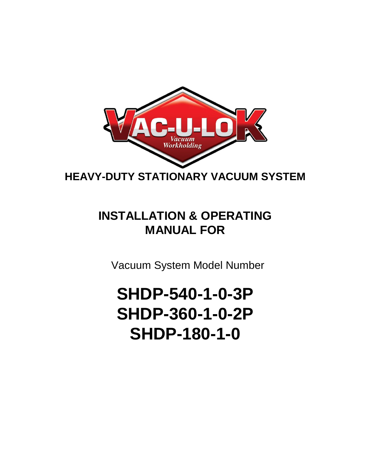

**HEAVY-DUTY STATIONARY VACUUM SYSTEM**

# **INSTALLATION & OPERATING MANUAL FOR**

Vacuum System Model Number

# **SHDP-540-1-0-3P SHDP-360-1-0-2P SHDP-180-1-0**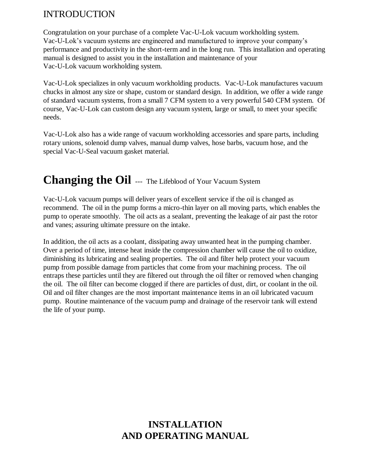# INTRODUCTION

Congratulation on your purchase of a complete Vac-U-Lok vacuum workholding system. Vac-U-Lok's vacuum systems are engineered and manufactured to improve your company's performance and productivity in the short-term and in the long run. This installation and operating manual is designed to assist you in the installation and maintenance of your Vac-U-Lok vacuum workholding system.

Vac-U-Lok specializes in only vacuum workholding products. Vac-U-Lok manufactures vacuum chucks in almost any size or shape, custom or standard design. In addition, we offer a wide range of standard vacuum systems, from a small 7 CFM system to a very powerful 540 CFM system. Of course, Vac-U-Lok can custom design any vacuum system, large or small, to meet your specific needs.

Vac-U-Lok also has a wide range of vacuum workholding accessories and spare parts, including rotary unions, solenoid dump valves, manual dump valves, hose barbs, vacuum hose, and the special Vac-U-Seal vacuum gasket material.

# **Changing the Oil** --- The Lifeblood of Your Vacuum System

Vac-U-Lok vacuum pumps will deliver years of excellent service if the oil is changed as recommend. The oil in the pump forms a micro-thin layer on all moving parts, which enables the pump to operate smoothly. The oil acts as a sealant, preventing the leakage of air past the rotor and vanes; assuring ultimate pressure on the intake.

In addition, the oil acts as a coolant, dissipating away unwanted heat in the pumping chamber. Over a period of time, intense heat inside the compression chamber will cause the oil to oxidize, diminishing its lubricating and sealing properties. The oil and filter help protect your vacuum pump from possible damage from particles that come from your machining process. The oil entraps these particles until they are filtered out through the oil filter or removed when changing the oil. The oil filter can become clogged if there are particles of dust, dirt, or coolant in the oil. Oil and oil filter changes are the most important maintenance items in an oil lubricated vacuum pump. Routine maintenance of the vacuum pump and drainage of the reservoir tank will extend the life of your pump.

# **INSTALLATION AND OPERATING MANUAL**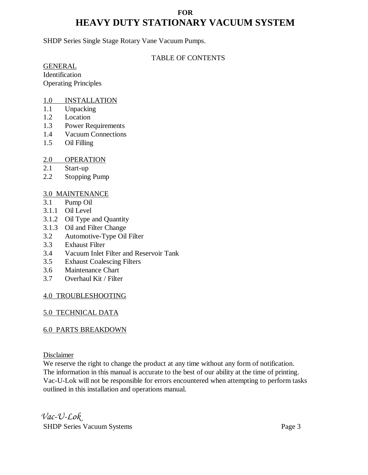### **FOR HEAVY DUTY STATIONARY VACUUM SYSTEM**

SHDP Series Single Stage Rotary Vane Vacuum Pumps.

#### TABLE OF CONTENTS

GENERAL

Identification Operating Principles

#### 1.0 INSTALLATION

- 1.1 Unpacking
- 1.2 Location
- 1.3 Power Requirements
- 1.4 Vacuum Connections
- 1.5 Oil Filling

#### 2.0 OPERATION

- 2.1 Start-up
- 2.2 Stopping Pump

#### 3.0 MAINTENANCE

- 3.1 Pump Oil
- 3.1.1 Oil Level
- 3.1.2 Oil Type and Quantity
- 3.1.3 Oil and Filter Change
- 3.2 Automotive-Type Oil Filter
- 3.3 Exhaust Filter
- 3.4 Vacuum Inlet Filter and Reservoir Tank
- 3.5 Exhaust Coalescing Filters
- 3.6 Maintenance Chart
- 3.7 Overhaul Kit / Filter

#### 4.0 TROUBLESHOOTING

#### 5.0 TECHNICAL DATA

#### 6.0 PARTS BREAKDOWN

Disclaimer

We reserve the right to change the product at any time without any form of notification. The information in this manual is accurate to the best of our ability at the time of printing. Vac-U-Lok will not be responsible for errors encountered when attempting to perform tasks outlined in this installation and operations manual.

*Vac-U-Lok* SHDP Series Vacuum Systems **Page 3**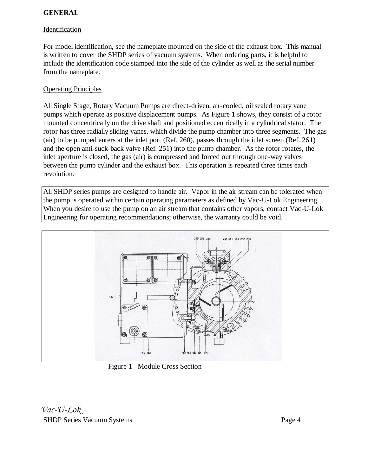#### **GENERAL**

#### Identification

For model identification, see the nameplate mounted on the side of the exhaust box. This manual is written to cover the SHDP series of vacuum systems. When ordering parts, it is helpful to include the identification code stamped into the side of the cylinder as well as the serial number from the nameplate.

#### Operating Principles

All Single Stage, Rotary Vacuum Pumps are direct-driven, air-cooled, oil sealed rotary vane pumps which operate as positive displacement pumps. As Figure 1 shows, they consist of a rotor mounted concentrically on the drive shaft and positioned eccentrically in a cylindrical stator. The rotor has three radially sliding vanes, which divide the pump chamber into three segments. The gas (air) to be pumped enters at the inlet port (Ref. 260), passes through the inlet screen (Ref. 261) and the open anti-suck-back valve (Ref. 251) into the pump chamber. As the rotor rotates, the inlet aperture is closed, the gas (air) is compressed and forced out through one-way valves between the pump cylinder and the exhaust box. This operation is repeated three times each revolution.

All SHDP series pumps are designed to handle air. Vapor in the air stream can be tolerated when the pump is operated within certain operating parameters as defined by Vac-U-Lok Engineering. When you desire to use the pump on an air stream that contains other vapors, contact Vac-U-Lok Engineering for operating recommendations; otherwise, the warranty could be void.



Figure 1 Module Cross Section

*Vac-U-Lok* SHDP Series Vacuum Systems Page 4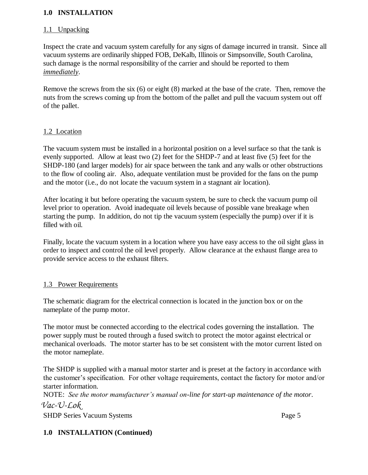#### **1.0 INSTALLATION**

#### 1.1 Unpacking

Inspect the crate and vacuum system carefully for any signs of damage incurred in transit. Since all vacuum systems are ordinarily shipped FOB, DeKalb, Illinois or Simpsonville, South Carolina, such damage is the normal responsibility of the carrier and should be reported to them *immediately*.

Remove the screws from the six (6) or eight (8) marked at the base of the crate. Then, remove the nuts from the screws coming up from the bottom of the pallet and pull the vacuum system out off of the pallet.

#### 1.2 Location

The vacuum system must be installed in a horizontal position on a level surface so that the tank is evenly supported. Allow at least two (2) feet for the SHDP-7 and at least five (5) feet for the SHDP-180 (and larger models) for air space between the tank and any walls or other obstructions to the flow of cooling air. Also, adequate ventilation must be provided for the fans on the pump and the motor (i.e., do not locate the vacuum system in a stagnant air location).

After locating it but before operating the vacuum system, be sure to check the vacuum pump oil level prior to operation. Avoid inadequate oil levels because of possible vane breakage when starting the pump. In addition, do not tip the vacuum system (especially the pump) over if it is filled with oil.

Finally, locate the vacuum system in a location where you have easy access to the oil sight glass in order to inspect and control the oil level properly. Allow clearance at the exhaust flange area to provide service access to the exhaust filters.

#### 1.3 Power Requirements

The schematic diagram for the electrical connection is located in the junction box or on the nameplate of the pump motor.

The motor must be connected according to the electrical codes governing the installation. The power supply must be routed through a fused switch to protect the motor against electrical or mechanical overloads. The motor starter has to be set consistent with the motor current listed on the motor nameplate.

The SHDP is supplied with a manual motor starter and is preset at the factory in accordance with the customer's specification. For other voltage requirements, contact the factory for motor and/or starter information.

NOTE: *See the motor manufacturer's manual on-line for start-up maintenance of the motor*. *Vac-U-Lok*

SHDP Series Vacuum Systems **Page 5** 

#### **1.0 INSTALLATION (Continued)**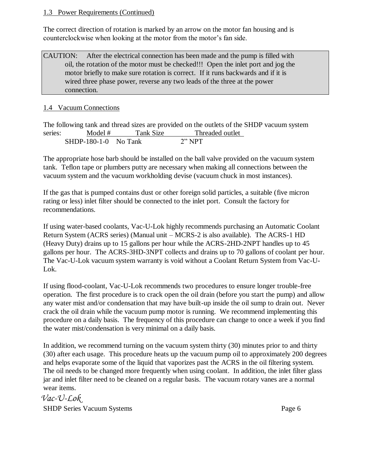#### 1.3 Power Requirements (Continued)

The correct direction of rotation is marked by an arrow on the motor fan housing and is counterclockwise when looking at the motor from the motor's fan side.

#### CAUTION: After the electrical connection has been made and the pump is filled with oil, the rotation of the motor must be checked!!! Open the inlet port and jog the motor briefly to make sure rotation is correct. If it runs backwards and if it is wired three phase power, reverse any two leads of the three at the power connection.

#### 1.4 Vacuum Connections

The following tank and thread sizes are provided on the outlets of the SHDP vacuum system series: Model # Tank Size Threaded outlet SHDP-180-1-0 No Tank 2" NPT

The appropriate hose barb should be installed on the ball valve provided on the vacuum system tank. Teflon tape or plumbers putty are necessary when making all connections between the vacuum system and the vacuum workholding devise (vacuum chuck in most instances).

If the gas that is pumped contains dust or other foreign solid particles, a suitable (five micron rating or less) inlet filter should be connected to the inlet port. Consult the factory for recommendations.

If using water-based coolants, Vac-U-Lok highly recommends purchasing an Automatic Coolant Return System (ACRS series) (Manual unit – MCRS-2 is also available). The ACRS-1 HD (Heavy Duty) drains up to 15 gallons per hour while the ACRS-2HD-2NPT handles up to 45 gallons per hour. The ACRS-3HD-3NPT collects and drains up to 70 gallons of coolant per hour. The Vac-U-Lok vacuum system warranty is void without a Coolant Return System from Vac-U-Lok.

If using flood-coolant, Vac-U-Lok recommends two procedures to ensure longer trouble-free operation. The first procedure is to crack open the oil drain (before you start the pump) and allow any water mist and/or condensation that may have built-up inside the oil sump to drain out. Never crack the oil drain while the vacuum pump motor is running. We recommend implementing this procedure on a daily basis. The frequency of this procedure can change to once a week if you find the water mist/condensation is very minimal on a daily basis.

In addition, we recommend turning on the vacuum system thirty (30) minutes prior to and thirty (30) after each usage. This procedure heats up the vacuum pump oil to approximately 200 degrees and helps evaporate some of the liquid that vaporizes past the ACRS in the oil filtering system. The oil needs to be changed more frequently when using coolant. In addition, the inlet filter glass jar and inlet filter need to be cleaned on a regular basis. The vacuum rotary vanes are a normal wear items.

*Vac-U-Lok* SHDP Series Vacuum Systems **Page 6**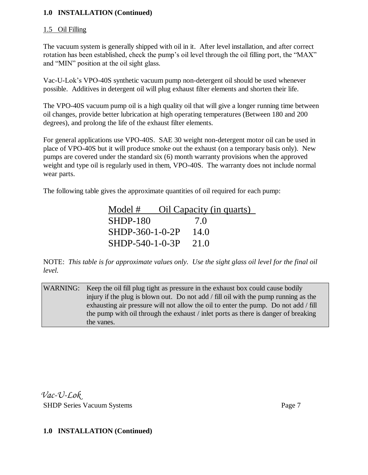#### **1.0 INSTALLATION (Continued)**

#### 1.5 Oil Filling

The vacuum system is generally shipped with oil in it. After level installation, and after correct rotation has been established, check the pump's oil level through the oil filling port, the "MAX" and "MIN" position at the oil sight glass.

Vac-U-Lok's VPO-40S synthetic vacuum pump non-detergent oil should be used whenever possible. Additives in detergent oil will plug exhaust filter elements and shorten their life.

The VPO-40S vacuum pump oil is a high quality oil that will give a longer running time between oil changes, provide better lubrication at high operating temperatures (Between 180 and 200 degrees), and prolong the life of the exhaust filter elements.

For general applications use VPO-40S. SAE 30 weight non-detergent motor oil can be used in place of VPO-40S but it will produce smoke out the exhaust (on a temporary basis only). New pumps are covered under the standard six (6) month warranty provisions when the approved weight and type oil is regularly used in them, VPO-40S. The warranty does not include normal wear parts.

The following table gives the approximate quantities of oil required for each pump:

| Model #         | Oil Capacity (in quarts) |
|-----------------|--------------------------|
| <b>SHDP-180</b> | 7.0                      |
| SHDP-360-1-0-2P | 14.0                     |
| SHDP-540-1-0-3P | 21.0                     |

NOTE: *This table is for approximate values only. Use the sight glass oil level for the final oil level.* 

WARNING: Keep the oil fill plug tight as pressure in the exhaust box could cause bodily injury if the plug is blown out. Do not add / fill oil with the pump running as the exhausting air pressure will not allow the oil to enter the pump. Do not add / fill the pump with oil through the exhaust / inlet ports as there is danger of breaking the vanes.

*Vac-U-Lok* SHDP Series Vacuum Systems Page 7

#### **1.0 INSTALLATION (Continued)**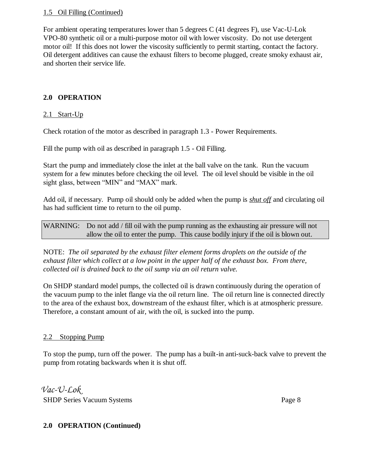#### 1.5 Oil Filling (Continued)

For ambient operating temperatures lower than 5 degrees C (41 degrees F), use Vac-U-Lok VPO-80 synthetic oil or a multi-purpose motor oil with lower viscosity. Do not use detergent motor oil! If this does not lower the viscosity sufficiently to permit starting, contact the factory. Oil detergent additives can cause the exhaust filters to become plugged, create smoky exhaust air, and shorten their service life.

#### **2.0 OPERATION**

#### $2.1$  Start-Up

Check rotation of the motor as described in paragraph 1.3 - Power Requirements.

Fill the pump with oil as described in paragraph 1.5 - Oil Filling.

Start the pump and immediately close the inlet at the ball valve on the tank. Run the vacuum system for a few minutes before checking the oil level. The oil level should be visible in the oil sight glass, between "MIN" and "MAX" mark.

Add oil, if necessary. Pump oil should only be added when the pump is *shut off* and circulating oil has had sufficient time to return to the oil pump.

WARNING: Do not add / fill oil with the pump running as the exhausting air pressure will not allow the oil to enter the pump. This cause bodily injury if the oil is blown out.

NOTE: *The oil separated by the exhaust filter element forms droplets on the outside of the exhaust filter which collect at a low point in the upper half of the exhaust box. From there, collected oil is drained back to the oil sump via an oil return valve.* 

On SHDP standard model pumps, the collected oil is drawn continuously during the operation of the vacuum pump to the inlet flange via the oil return line. The oil return line is connected directly to the area of the exhaust box, downstream of the exhaust filter, which is at atmospheric pressure. Therefore, a constant amount of air, with the oil, is sucked into the pump.

#### 2.2 Stopping Pump

To stop the pump, turn off the power. The pump has a built-in anti-suck-back valve to prevent the pump from rotating backwards when it is shut off.

*Vac-U-Lok* SHDP Series Vacuum Systems Page 8

#### **2.0 OPERATION (Continued)**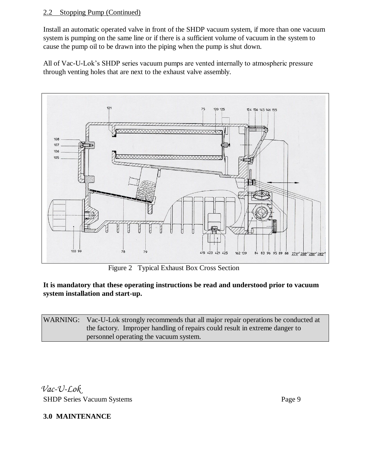#### 2.2 Stopping Pump (Continued)

Install an automatic operated valve in front of the SHDP vacuum system, if more than one vacuum system is pumping on the same line or if there is a sufficient volume of vacuum in the system to cause the pump oil to be drawn into the piping when the pump is shut down.

All of Vac-U-Lok's SHDP series vacuum pumps are vented internally to atmospheric pressure through venting holes that are next to the exhaust valve assembly.



Figure 2 Typical Exhaust Box Cross Section

#### **It is mandatory that these operating instructions be read and understood prior to vacuum system installation and start-up.**

WARNING: Vac-U-Lok strongly recommends that all major repair operations be conducted at the factory. Improper handling of repairs could result in extreme danger to personnel operating the vacuum system.

*Vac-U-Lok* SHDP Series Vacuum Systems Page 9

**3.0 MAINTENANCE**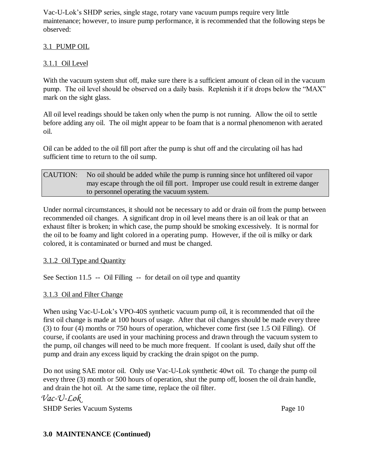Vac-U-Lok's SHDP series, single stage, rotary vane vacuum pumps require very little maintenance; however, to insure pump performance, it is recommended that the following steps be observed:

#### 3.1 PUMP OIL

#### 3.1.1 Oil Level

With the vacuum system shut off, make sure there is a sufficient amount of clean oil in the vacuum pump. The oil level should be observed on a daily basis. Replenish it if it drops below the "MAX" mark on the sight glass.

All oil level readings should be taken only when the pump is not running. Allow the oil to settle before adding any oil. The oil might appear to be foam that is a normal phenomenon with aerated oil.

Oil can be added to the oil fill port after the pump is shut off and the circulating oil has had sufficient time to return to the oil sump.

| <b>CAUTION:</b> | No oil should be added while the pump is running since hot unfiltered oil vapor   |
|-----------------|-----------------------------------------------------------------------------------|
|                 | may escape through the oil fill port. Improper use could result in extreme danger |
|                 | to personnel operating the vacuum system.                                         |

Under normal circumstances, it should not be necessary to add or drain oil from the pump between recommended oil changes. A significant drop in oil level means there is an oil leak or that an exhaust filter is broken; in which case, the pump should be smoking excessively. It is normal for the oil to be foamy and light colored in a operating pump. However, if the oil is milky or dark colored, it is contaminated or burned and must be changed.

#### 3.1.2 Oil Type and Quantity

See Section 11.5 -- Oil Filling -- for detail on oil type and quantity

#### 3.1.3 Oil and Filter Change

When using Vac-U-Lok's VPO-40S synthetic vacuum pump oil, it is recommended that oil the first oil change is made at 100 hours of usage. After that oil changes should be made every three (3) to four (4) months or 750 hours of operation, whichever come first (see 1.5 Oil Filling). Of course, if coolants are used in your machining process and drawn through the vacuum system to the pump, oil changes will need to be much more frequent. If coolant is used, daily shut off the pump and drain any excess liquid by cracking the drain spigot on the pump.

Do not using SAE motor oil. Only use Vac-U-Lok synthetic 40wt oil. To change the pump oil every three (3) month or 500 hours of operation, shut the pump off, loosen the oil drain handle, and drain the hot oil. At the same time, replace the oil filter. *Vac-U-Lok*

SHDP Series Vacuum Systems Page 10

#### **3.0 MAINTENANCE (Continued)**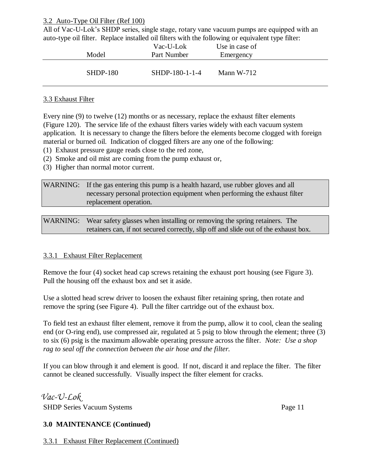#### 3.2 Auto-Type Oil Filter (Ref 100)

All of Vac-U-Lok's SHDP series, single stage, rotary vane vacuum pumps are equipped with an auto-type oil filter. Replace installed oil filters with the following or equivalent type filter:

| $\cdot$ 1 | Model           | Vac-U-Lok<br>Part Number | Use in case of<br>Emergency | <u>_</u> |
|-----------|-----------------|--------------------------|-----------------------------|----------|
|           | <b>SHDP-180</b> | SHDP-180-1-1-4           | Mann $W-712$                |          |

#### 3.3 Exhaust Filter

Every nine (9) to twelve (12) months or as necessary, replace the exhaust filter elements (Figure 120). The service life of the exhaust filters varies widely with each vacuum system application. It is necessary to change the filters before the elements become clogged with foreign material or burned oil. Indication of clogged filters are any one of the following:

- (1) Exhaust pressure gauge reads close to the red zone,
- (2) Smoke and oil mist are coming from the pump exhaust or,
- (3) Higher than normal motor current.

WARNING: If the gas entering this pump is a health hazard, use rubber gloves and all necessary personal protection equipment when performing the exhaust filter replacement operation.

WARNING: Wear safety glasses when installing or removing the spring retainers. The retainers can, if not secured correctly, slip off and slide out of the exhaust box.

#### 3.3.1 Exhaust Filter Replacement

Remove the four (4) socket head cap screws retaining the exhaust port housing (see Figure 3). Pull the housing off the exhaust box and set it aside.

Use a slotted head screw driver to loosen the exhaust filter retaining spring, then rotate and remove the spring (see Figure 4). Pull the filter cartridge out of the exhaust box.

To field test an exhaust filter element, remove it from the pump, allow it to cool, clean the sealing end (or O-ring end), use compressed air, regulated at 5 psig to blow through the element; three (3) to six (6) psig is the maximum allowable operating pressure across the filter. *Note: Use a shop rag to seal off the connection between the air hose and the filter.*

If you can blow through it and element is good. If not, discard it and replace the filter. The filter cannot be cleaned successfully. Visually inspect the filter element for cracks.

*Vac-U-Lok* SHDP Series Vacuum Systems Page 11

#### **3.0 MAINTENANCE (Continued)**

3.3.1 Exhaust Filter Replacement (Continued)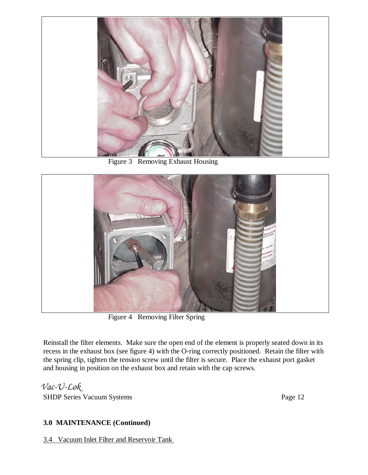

Figure 3 Removing Exhaust Housing



Figure 4 Removing Filter Spring

Reinstall the filter elements. Make sure the open end of the element is properly seated down in its recess in the exhaust box (see figure 4) with the O-ring correctly positioned. Retain the filter with the spring clip, tighten the tension screw until the filter is secure. Place the exhaust port gasket and housing in position on the exhaust box and retain with the cap screws.

*Vac-U-Lok* SHDP Series Vacuum Systems Page 12

#### **3.0 MAINTENANCE (Continued)**

3.4 Vacuum Inlet Filter and Reservoir Tank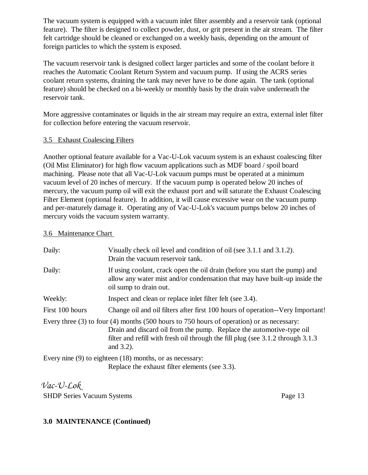The vacuum system is equipped with a vacuum inlet filter assembly and a reservoir tank (optional feature). The filter is designed to collect powder, dust, or grit present in the air stream. The filter felt cartridge should be cleaned or exchanged on a weekly basis, depending on the amount of foreign particles to which the system is exposed.

The vacuum reservoir tank is designed collect larger particles and some of the coolant before it reaches the Automatic Coolant Return System and vacuum pump. If using the ACRS series coolant return systems, draining the tank may never have to be done again. The tank (optional feature) should be checked on a bi-weekly or monthly basis by the drain valve underneath the reservoir tank.

More aggressive contaminates or liquids in the air stream may require an extra, external inlet filter for collection before entering the vacuum reservoir.

#### 3.5 Exhaust Coalescing Filters

Another optional feature available for a Vac-U-Lok vacuum system is an exhaust coalescing filter (Oil Mist Eliminator) for high flow vacuum applications such as MDF board / spoil board machining. Please note that all Vac-U-Lok vacuum pumps must be operated at a minimum vacuum level of 20 inches of mercury. If the vacuum pump is operated below 20 inches of mercury, the vacuum pump oil will exit the exhaust port and will saturate the Exhaust Coalescing Filter Element (optional feature). In addition, it will cause excessive wear on the vacuum pump and per-maturely damage it. Operating any of Vac-U-Lok's vacuum pumps below 20 inches of mercury voids the vacuum system warranty.

#### 3.6 Maintenance Chart

| Daily:          | Visually check oil level and condition of oil (see 3.1.1 and 3.1.2).<br>Drain the vacuum reservoir tank.                                                                                                                                                                    |
|-----------------|-----------------------------------------------------------------------------------------------------------------------------------------------------------------------------------------------------------------------------------------------------------------------------|
| Daily:          | If using coolant, crack open the oil drain (before you start the pump) and<br>allow any water mist and/or condensation that may have built-up inside the<br>oil sump to drain out.                                                                                          |
| Weekly:         | Inspect and clean or replace inlet filter felt (see 3.4).                                                                                                                                                                                                                   |
| First 100 hours | Change oil and oil filters after first 100 hours of operation--Very Important!                                                                                                                                                                                              |
|                 | Every three $(3)$ to four $(4)$ months $(500$ hours to 750 hours of operation) or as necessary:<br>Drain and discard oil from the pump. Replace the automotive-type oil<br>filter and refill with fresh oil through the fill plug (see 3.1.2 through 3.1.3)<br>and $3.2$ ). |
|                 | Every nine $(9)$ to eighteen $(18)$ months, or as necessary:<br>Replace the exhaust filter elements (see 3.3).                                                                                                                                                              |

*Vac-U-Lok* SHDP Series Vacuum Systems Page 13

#### **3.0 MAINTENANCE (Continued)**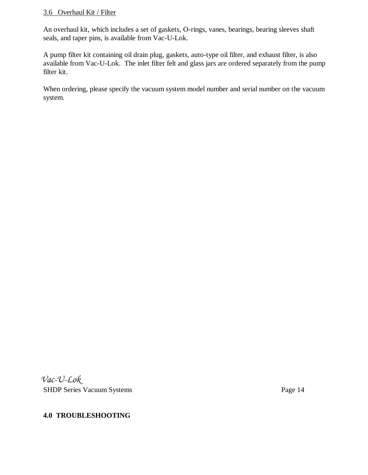#### 3.6 Overhaul Kit / Filter

An overhaul kit, which includes a set of gaskets, O-rings, vanes, bearings, bearing sleeves shaft seals, and taper pins, is available from Vac-U-Lok.

A pump filter kit containing oil drain plug, gaskets, auto-type oil filter, and exhaust filter, is also available from Vac-U-Lok. The inlet filter felt and glass jars are ordered separately from the pump filter kit.

When ordering, please specify the vacuum system model number and serial number on the vacuum system.

*Vac-U-Lok* SHDP Series Vacuum Systems Page 14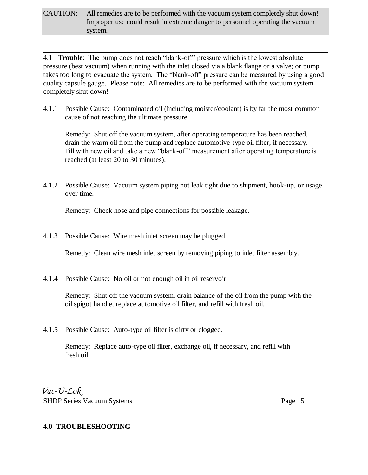4.1 **Trouble**: The pump does not reach "blank-off" pressure which is the lowest absolute pressure (best vacuum) when running with the inlet closed via a blank flange or a valve; or pump takes too long to evacuate the system. The "blank-off" pressure can be measured by using a good quality capsule gauge. Please note: All remedies are to be performed with the vacuum system completely shut down!

4.1.1 Possible Cause: Contaminated oil (including moister/coolant) is by far the most common cause of not reaching the ultimate pressure.

Remedy: Shut off the vacuum system, after operating temperature has been reached, drain the warm oil from the pump and replace automotive-type oil filter, if necessary. Fill with new oil and take a new "blank-off" measurement after operating temperature is reached (at least 20 to 30 minutes).

4.1.2 Possible Cause: Vacuum system piping not leak tight due to shipment, hook-up, or usage over time.

Remedy: Check hose and pipe connections for possible leakage.

4.1.3 Possible Cause: Wire mesh inlet screen may be plugged.

Remedy: Clean wire mesh inlet screen by removing piping to inlet filter assembly.

4.1.4 Possible Cause: No oil or not enough oil in oil reservoir.

Remedy: Shut off the vacuum system, drain balance of the oil from the pump with the oil spigot handle, replace automotive oil filter, and refill with fresh oil.

4.1.5 Possible Cause: Auto-type oil filter is dirty or clogged.

Remedy: Replace auto-type oil filter, exchange oil, if necessary, and refill with fresh oil.

*Vac-U-Lok* SHDP Series Vacuum Systems Page 15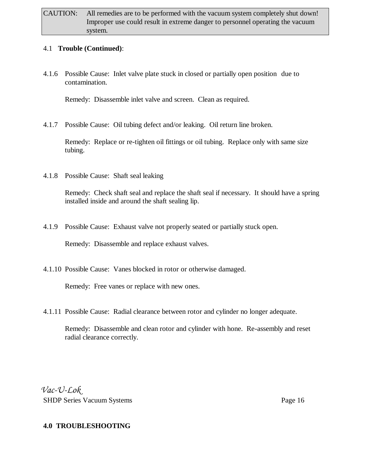#### 4.1 **Trouble (Continued)**:

4.1.6 Possible Cause: Inlet valve plate stuck in closed or partially open position due to contamination.

Remedy: Disassemble inlet valve and screen. Clean as required.

4.1.7 Possible Cause: Oil tubing defect and/or leaking. Oil return line broken.

Remedy: Replace or re-tighten oil fittings or oil tubing. Replace only with same size tubing.

4.1.8 Possible Cause: Shaft seal leaking

Remedy: Check shaft seal and replace the shaft seal if necessary. It should have a spring installed inside and around the shaft sealing lip.

4.1.9 Possible Cause: Exhaust valve not properly seated or partially stuck open.

Remedy: Disassemble and replace exhaust valves.

4.1.10 Possible Cause: Vanes blocked in rotor or otherwise damaged.

Remedy: Free vanes or replace with new ones.

4.1.11 Possible Cause: Radial clearance between rotor and cylinder no longer adequate.

Remedy: Disassemble and clean rotor and cylinder with hone. Re-assembly and reset radial clearance correctly.

*Vac-U-Lok* SHDP Series Vacuum Systems **Page 16**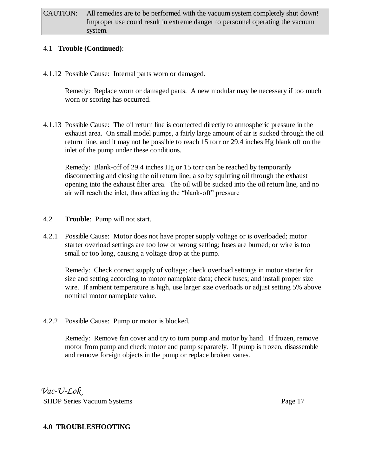#### 4.1 **Trouble (Continued)**:

4.1.12 Possible Cause: Internal parts worn or damaged.

Remedy: Replace worn or damaged parts. A new modular may be necessary if too much worn or scoring has occurred.

4.1.13 Possible Cause: The oil return line is connected directly to atmospheric pressure in the exhaust area. On small model pumps, a fairly large amount of air is sucked through the oil return line, and it may not be possible to reach 15 torr or 29.4 inches Hg blank off on the inlet of the pump under these conditions.

Remedy: Blank-off of 29.4 inches Hg or 15 torr can be reached by temporarily disconnecting and closing the oil return line; also by squirting oil through the exhaust opening into the exhaust filter area. The oil will be sucked into the oil return line, and no air will reach the inlet, thus affecting the "blank-off" pressure

- 4.2 **Trouble**: Pump will not start.
- 4.2.1 Possible Cause: Motor does not have proper supply voltage or is overloaded; motor starter overload settings are too low or wrong setting; fuses are burned; or wire is too small or too long, causing a voltage drop at the pump.

Remedy: Check correct supply of voltage; check overload settings in motor starter for size and setting according to motor nameplate data; check fuses; and install proper size wire. If ambient temperature is high, use larger size overloads or adjust setting 5% above nominal motor nameplate value.

4.2.2 Possible Cause: Pump or motor is blocked.

Remedy: Remove fan cover and try to turn pump and motor by hand. If frozen, remove motor from pump and check motor and pump separately. If pump is frozen, disassemble and remove foreign objects in the pump or replace broken vanes.

*Vac-U-Lok* SHDP Series Vacuum Systems Page 17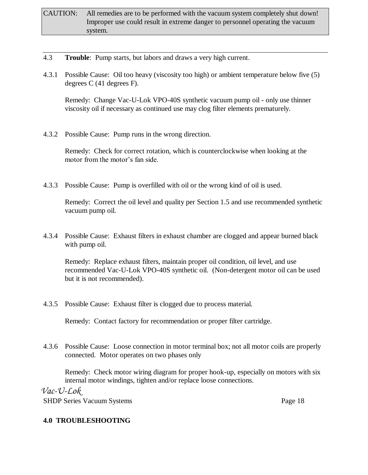- 4.3 **Trouble**: Pump starts, but labors and draws a very high current.
- 4.3.1 Possible Cause: Oil too heavy (viscosity too high) or ambient temperature below five (5) degrees C (41 degrees F).

Remedy: Change Vac-U-Lok VPO-40S synthetic vacuum pump oil - only use thinner viscosity oil if necessary as continued use may clog filter elements prematurely.

4.3.2 Possible Cause: Pump runs in the wrong direction.

Remedy: Check for correct rotation, which is counterclockwise when looking at the motor from the motor's fan side.

4.3.3 Possible Cause: Pump is overfilled with oil or the wrong kind of oil is used.

Remedy: Correct the oil level and quality per Section 1.5 and use recommended synthetic vacuum pump oil.

4.3.4 Possible Cause: Exhaust filters in exhaust chamber are clogged and appear burned black with pump oil.

Remedy: Replace exhaust filters, maintain proper oil condition, oil level, and use recommended Vac-U-Lok VPO-40S synthetic oil. (Non-detergent motor oil can be used but it is not recommended).

4.3.5 Possible Cause: Exhaust filter is clogged due to process material.

Remedy: Contact factory for recommendation or proper filter cartridge.

4.3.6 Possible Cause: Loose connection in motor terminal box; not all motor coils are properly connected. Motor operates on two phases only

Remedy: Check motor wiring diagram for proper hook-up, especially on motors with six internal motor windings, tighten and/or replace loose connections.

*Vac-U-Lok* SHDP Series Vacuum Systems Page 18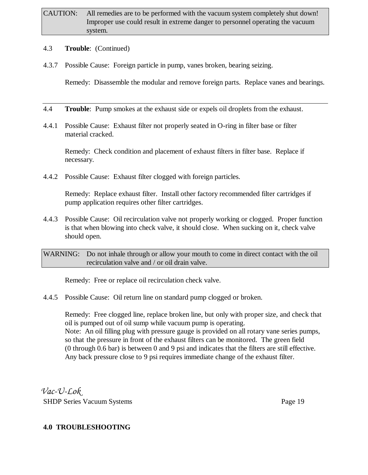#### 4.3 **Trouble**: (Continued)

4.3.7 Possible Cause: Foreign particle in pump, vanes broken, bearing seizing.

Remedy: Disassemble the modular and remove foreign parts. Replace vanes and bearings.

- 4.4 **Trouble**: Pump smokes at the exhaust side or expels oil droplets from the exhaust.
- 4.4.1 Possible Cause: Exhaust filter not properly seated in O-ring in filter base or filter material cracked.

Remedy: Check condition and placement of exhaust filters in filter base. Replace if necessary.

4.4.2 Possible Cause: Exhaust filter clogged with foreign particles.

Remedy: Replace exhaust filter. Install other factory recommended filter cartridges if pump application requires other filter cartridges.

4.4.3 Possible Cause: Oil recirculation valve not properly working or clogged. Proper function is that when blowing into check valve, it should close. When sucking on it, check valve should open.

WARNING: Do not inhale through or allow your mouth to come in direct contact with the oil recirculation valve and / or oil drain valve.

Remedy: Free or replace oil recirculation check valve.

4.4.5 Possible Cause: Oil return line on standard pump clogged or broken.

Remedy: Free clogged line, replace broken line, but only with proper size, and check that oil is pumped out of oil sump while vacuum pump is operating. Note: An oil filling plug with pressure gauge is provided on all rotary vane series pumps, so that the pressure in front of the exhaust filters can be monitored. The green field (0 through 0.6 bar) is between 0 and 9 psi and indicates that the filters are still effective. Any back pressure close to 9 psi requires immediate change of the exhaust filter.

*Vac-U-Lok* SHDP Series Vacuum Systems Page 19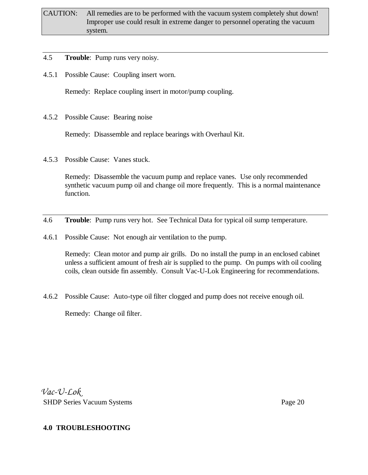- 4.5 **Trouble**: Pump runs very noisy.
- 4.5.1 Possible Cause: Coupling insert worn.

Remedy: Replace coupling insert in motor/pump coupling.

4.5.2 Possible Cause: Bearing noise

Remedy: Disassemble and replace bearings with Overhaul Kit.

4.5.3 Possible Cause: Vanes stuck.

Remedy: Disassemble the vacuum pump and replace vanes. Use only recommended synthetic vacuum pump oil and change oil more frequently. This is a normal maintenance function.

- 4.6 **Trouble**: Pump runs very hot. See Technical Data for typical oil sump temperature.
- 4.6.1 Possible Cause: Not enough air ventilation to the pump.

Remedy: Clean motor and pump air grills. Do no install the pump in an enclosed cabinet unless a sufficient amount of fresh air is supplied to the pump. On pumps with oil cooling coils, clean outside fin assembly. Consult Vac-U-Lok Engineering for recommendations.

4.6.2 Possible Cause: Auto-type oil filter clogged and pump does not receive enough oil.

Remedy: Change oil filter.

*Vac-U-Lok* SHDP Series Vacuum Systems Page 20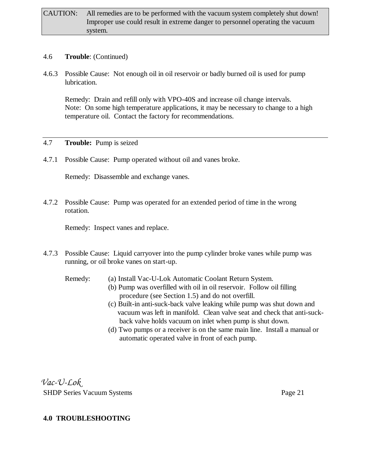#### 4.6 **Trouble**: (Continued)

4.6.3 Possible Cause: Not enough oil in oil reservoir or badly burned oil is used for pump lubrication.

Remedy: Drain and refill only with VPO-40S and increase oil change intervals. Note: On some high temperature applications, it may be necessary to change to a high temperature oil. Contact the factory for recommendations.

#### 4.7 **Trouble:** Pump is seized

4.7.1 Possible Cause: Pump operated without oil and vanes broke.

Remedy: Disassemble and exchange vanes.

4.7.2 Possible Cause: Pump was operated for an extended period of time in the wrong rotation.

Remedy: Inspect vanes and replace.

4.7.3 Possible Cause: Liquid carryover into the pump cylinder broke vanes while pump was running, or oil broke vanes on start-up.

Remedy: (a) Install Vac-U-Lok Automatic Coolant Return System.

- (b) Pump was overfilled with oil in oil reservoir. Follow oil filling procedure (see Section 1.5) and do not overfill.
- (c) Built-in anti-suck-back valve leaking while pump was shut down and vacuum was left in manifold. Clean valve seat and check that anti-suck back valve holds vacuum on inlet when pump is shut down.
- (d) Two pumps or a receiver is on the same main line. Install a manual or automatic operated valve in front of each pump.

*Vac-U-Lok* SHDP Series Vacuum Systems Page 21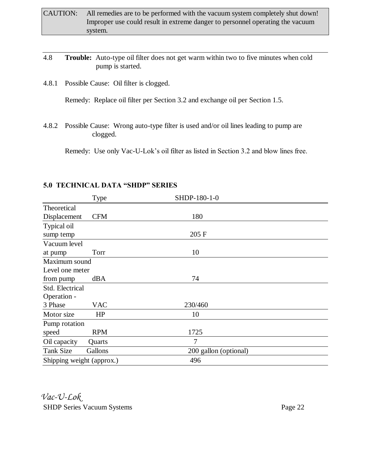- CAUTION: All remedies are to be performed with the vacuum system completely shut down! Improper use could result in extreme danger to personnel operating the vacuum system.
- 4.8 **Trouble:** Auto-type oil filter does not get warm within two to five minutes when cold pump is started.
- 4.8.1 Possible Cause: Oil filter is clogged.

Remedy: Replace oil filter per Section 3.2 and exchange oil per Section 1.5.

4.8.2 Possible Cause: Wrong auto-type filter is used and/or oil lines leading to pump are clogged.

Remedy: Use only Vac-U-Lok's oil filter as listed in Section 3.2 and blow lines free.

|                           | <b>Type</b> | SHDP-180-1-0          |  |
|---------------------------|-------------|-----------------------|--|
| Theoretical               |             |                       |  |
| Displacement              | <b>CFM</b>  | 180                   |  |
| Typical oil               |             |                       |  |
| sump temp                 |             | 205 F                 |  |
| Vacuum level              |             |                       |  |
| at pump                   | Torr        | 10                    |  |
| Maximum sound             |             |                       |  |
| Level one meter           |             |                       |  |
| from pump                 | dBA         | 74                    |  |
| Std. Electrical           |             |                       |  |
| Operation -               |             |                       |  |
| 3 Phase                   | <b>VAC</b>  | 230/460               |  |
| Motor size                | HP          | 10                    |  |
| Pump rotation             |             |                       |  |
| speed                     | <b>RPM</b>  | 1725                  |  |
| Oil capacity              | Quarts      | 7                     |  |
| <b>Tank Size</b>          | Gallons     | 200 gallon (optional) |  |
| Shipping weight (approx.) |             | 496                   |  |

#### **5.0 TECHNICAL DATA "SHDP" SERIES**

*Vac-U-Lok* SHDP Series Vacuum Systems **Page 22**